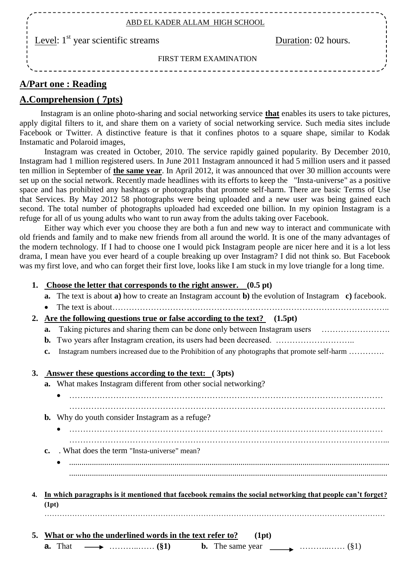| ABD EL KADER ALLAM HIGH SCHOOL                               |                     |  |  |  |  |
|--------------------------------------------------------------|---------------------|--|--|--|--|
| $\frac{1}{2}$ Level: 1 <sup>st</sup> year scientific streams | Duration: 02 hours. |  |  |  |  |
| FIRST TERM EXAMINATION                                       |                     |  |  |  |  |
|                                                              |                     |  |  |  |  |

## **A/Part one : Reading**

## **A.Comprehension ( 7pts)**

 Instagram is an online photo-sharing and social networking service **that** enables its users to take pictures, apply digital filters to it, and share them on a variety of social networking service. Such media sites include Facebook or Twitter. A distinctive feature is that it confines photos to a square shape, similar to Kodak Instamatic and Polaroid images,

 Instagram was created in October, 2010. The service rapidly gained popularity. By December 2010, Instagram had 1 million registered users. In June 2011 Instagram announced it had 5 million users and it passed ten million in September of **the same year**. In April 2012, it was announced that over 30 million accounts were set up on the social network. Recently made headlines with its efforts to keep the "Insta-universe" as a positive space and has prohibited any hashtags or photographs that promote self-harm. There are basic Terms of Use that Services. By May 2012 58 photographs were being uploaded and a new user was being gained each second. The total number of photographs uploaded had exceeded one billion. In my opinion Instagram is a refuge for all of us young adults who want to run away from the adults taking over Facebook.

 Either way which ever you choose they are both a fun and new way to interact and communicate with old friends and family and to make new friends from all around the world. It is one of the many advantages of the modern technology. If I had to choose one I would pick Instagram people are nicer here and it is a lot less drama, I mean have you ever heard of a couple breaking up over Instagram? I did not think so. But Facebook was my first love, and who can forget their first love, looks like I am stuck in my love triangle for a long time.

#### **1. Choose the letter that corresponds to the right answer. (0.5 pt)**

- **a.** The text is about **a)** how to create an Instagram account **b)** the evolution of Instagram **c)** facebook.
- The text is about………………………………………………………………………………………..

#### **2. Are the following questions true or false according to the text? (1.5pt)**

- **a.** Taking pictures and sharing them can be done only between Instagram users ……………………
- **b.** Two years after Instagram creation, its users had been decreased. …………………………………………
- **c.** Instagram numbers increased due to the Prohibition of any photographs that promote self-harm ………….

# **3. Answer these questions according to the text: ( 3pts) a.** What makes Instagram different from other social networking? …………………………………………………………………………………………………… **b.** Why do youth consider Instagram as a refuge? …………………………………………………………………………………………………… ……………………………………………………………………………………………………... **c.** . What does the term "Insta-universe" mean? ........................................................................................................................................................... .......................................................................................................................................................... **4. In which paragraphs is it mentioned that facebook remains the social networking that people can't forget? (1pt)** ……………………………………………………………………………………………………………………… **5. What or who the underlined words in the text refer to? (1pt) a.** That  $\longrightarrow$  ……………. (§1) **b.** The same year  $\longrightarrow$  ……………. (§1)